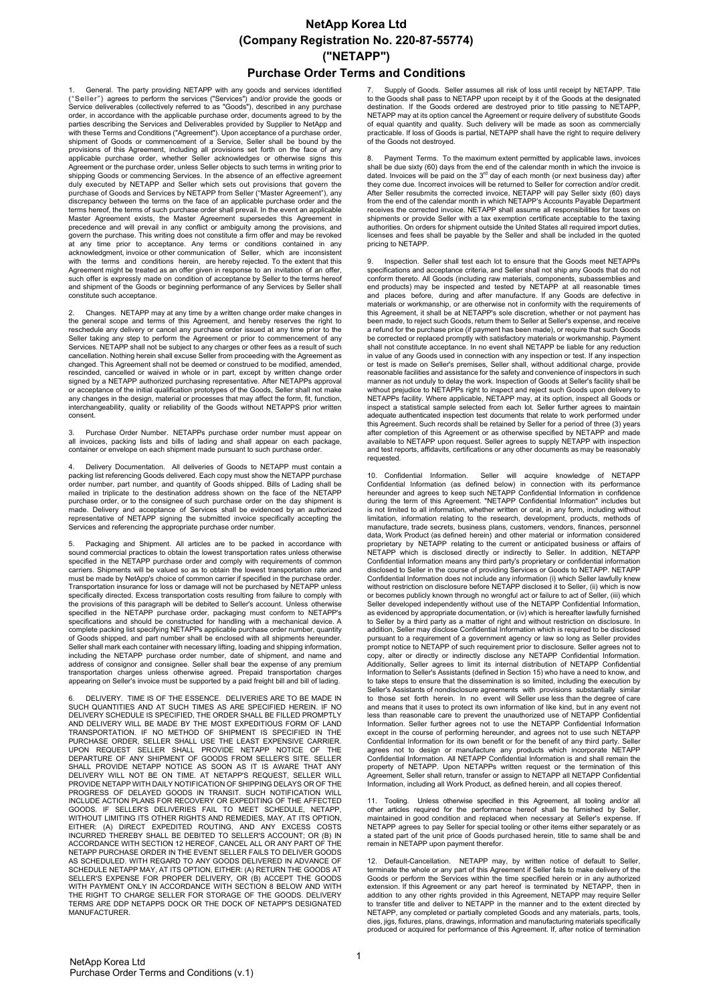# **NetApp Korea Ltd (Company Registration No. 220-87-55774) ("NETAPP")**

#### **Purchase Order Terms and Conditions**

1. General. The party providing NETAPP with any goods and services identified ("Seller") agrees to perform the services ("Services") and/or provide the goods or Service deliverables (collectively referred to as "Goods"), described in any purchase<br>order, in accordance with the applicable purchase order, documents agreed to by the<br>parties describing the Services and Deliverables pro with these Terms and Conditions ("Agreement"). Upon acceptance of a purchase order, shipment of Goods or commencement of a Service, Seller shall be bound by the provisions of this Agreement, including all provisions set forth on the face of any applicable purchase order, whether Seller acknowledges or otherwise signs this Agreement or the purchase order, unless Seller objects to such terms in writing prior to shipping Goods or commencing Services. In the absence of an effective agreement duly executed by NETAPP and Seller which sets out provisions that govern the purchase of Goods and Services by NETAPP from Seller ("Master Agreement"), any<br>discrepancy between the terms on the face of an applicable purchase order and the terms hereof, the terms of such purchase order shall prevail. In the event an applicable<br>Master Agreement exists, the Master Agreement supersedes this Agreement in Master Agreement exists, the Master Agreement supersedes this Agreement in<br>precedence and will prevail in any conflict or ambiguity among the provisions, and<br>govern the purchase. This writing does not constitute a firm off at any time prior to acceptance. Any terms or conditions contained in any acknowledgment, invoice or other communication of Seller, which are inconsistent with the terms and conditions herein, are hereby rejected. To the extent that this Agreement might be treated as an offer given in response to an invitation of an offer, such offer is expressly made on condition of acceptance by Seller to the terms hereof and shipment of the Goods or beginning performance of any Services by Seller shall constitute such acceptance.

2. Changes. NETAPP may at any time by a written change order make changes in the general scope and terms of this Agreement, and hereby reserves the right to reschedule any delivery or cancel any purchase order issued at any time prior to the<br>Seller taking any step to perform the Agreement or prior to commencement of any<br>Services. NETAPP shall not be subject to any charges or o cancellation. Nothing herein shall excuse Seller from proceeding with the Agreement as changed. This Agreement shall not be deemed or construed to be modified, amended, rescinded, cancelled or waived in whole or in part, except by written change order signed by a NETAPP authorized purchasing representative. After NETAPPs approval or acceptance of the initial qualification prototypes of the Goods, Seller shall not make<br>any changes in the design, material or processes that may affect the form, fit, function,<br>interchangeability, quality or reliability consent.

3. Purchase Order Number. NETAPPs purchase order number must appear on all invoices, packing lists and bills of lading and shall appear on each package, container or envelope on each shipment made pursuant to such purchase order.

Delivery Documentation. All deliveries of Goods to NETAPP must contain a packing list referencing Goods delivered. Each copy must show the NETAPP purchase order number, part number, and quantity of Goods shipped. Bills of Lading shall be mailed in triplicate to the destination address shown on the face of the NETAPP purchase order, or to the consignee of such purchase order on the day shipment is<br>made. Delivery and acceptance of Services shall be evidenced by an authorized<br>representative of NETAPP signing the submitted invoice specif Services and referencing the appropriate purchase order number.

5. Packaging and Shipment. All articles are to be packed in accordance with sound commercial practices to obtain the lowest transportation rates unless otherwise specified in the NETAPP purchase order and comply with requirements of common carriers. Shipments will be valued so as to obtain the lowest transportation rate and must be made by NetApp's choice of common carrier if specified in the purchase order. Transportation insurance for loss or damage will not be purchased by NETAPP unless specifically directed. Excess transportation costs resulting from failure to comply with the provisions of this paragraph will be debited to Seller's account. Unless otherwise specified in the NETAPP purchase order, packaging must conform to NETAPP's specifications and should be constructed for handling with a mechanical device. A complete packing list specifying NETAPPs applicable purchase order number, quantity of Goods shipped, and part number shall be enclosed with all shipments hereunder. Seller shall mark each container with necessary lifting, loading and shipping information, including the NETAPP purchase order number, date of shipment, and name and address of consignor and consignee. Seller shall bear the expense of any premium transportation charges unless otherwise agreed. Prepaid transportation charges appearing on Seller's invoice must be supported by a paid freight bill and bill of lading.

6. DELIVERY. TIME IS OF THE ESSENCE. DELIVERIES ARE TO BE MADE IN<br>SUCH QUANTITIES AND AT SUCH TIMES AS ARE SPECIFIED HEREIN. IF NO<br>DELIVERY SCHEDULE IS SPECIFIED, THE ORDER SHALL BE FILLED PROMPTLY<br>AND DELIVERY WILL BE MAD PROGRESS OF DELAYED GOODS IN TRANSIT. SUCH NOTIFICATION WILL<br>INCLUDE ACTION PLANS FOR RECOVERY OR EXPEDITING OF THE AFFECTED<br>GOODS. IF SELLER'S DELIVERIES FAIL TO MEET SCHEDULE, NETAPP,<br>WITHOUT LIMITING ITS OTHER RIGHTS AN EITHER: (A) DIRECT EXPEDITED ROUTING, AND ANY EXCESS COSTS INCURRED THEREBY SHALL BE DEBITED TO SELLER'S ACCOUNT; OR (B) IN<br>ACCORDANCE WITH SECTION 12 HEREOF, CANCEL ALL OR ANY PART OF THE<br>NETAPP PURCHASE ORDER IN THE EVENT SELLER FAILS TO DELIVER GOODS<br>AS SCHEDULED. WITH REGARD T SCHEDULE NETAPP MAY, AT ITS OPTION, EITHER: (A) RETURN THE GOODS AT<br>SELLER'S EXPENSE FOR PROPER DELIVERY, OR (B) ACCEPT THE GOODS AT<br>WITH PAYMENT ONLY IN ACCORDANCE WITH SECTION 8 BELOW AND WITH THE RIGHT TO CHARGE SELLER FOR STORAGE OF THE GOODS. DELIVERY TERMS ARE DDP NETAPPS DOCK OR THE DOCK OF NETAPP'S DESIGNATED **MANUFACTURER** 

7. Supply of Goods. Seller assumes all risk of loss until receipt by NETAPP. Title to the Goods shall pass to NETAPP upon receipt by it of the Goods at the designated destination. If the Goods ordered are destroyed prior to title passing to NETAPP, NETAPP may at its option cancel the Agreement or require delivery of substitute Goods<br>of equal quantity and quality. Such delivery will be made as soon as commercially<br>practicable. If loss of Goods is partial, NETAPP shall of the Goods not destroyed.

Payment Terms. To the maximum extent permitted by applicable laws, invoices shall be due sixty (60) days from the end of the calendar month in which the invoice is<br>dated. Invoices will be paid on the 3<sup>rd</sup> day of each month (or next business day) after<br>they come due. Incorrect invoices will be ret After Seller resubmits the corrected invoice, NETAPP will pay Seller sixty (60) days from the end of the calendar month in which NETAPP's Accounts Payable Department receives the corrected invoice. NETAPP shall assume all responsibilities for taxes on shipments or provide Seller with a tax exemption certificate acceptable to the taxing authorities. On orders for shipment outside the United States all required import duties, licenses and fees shall be payable by the Seller and shall be included in the quoted pricing to NETAPP.

Inspection. Seller shall test each lot to ensure that the Goods meet NETAPPs specifications and acceptance criteria, and Seller shall not ship any Goods that do not conform thereto. All Goods (including raw materials, components, subassemblies and end products) may be inspected and tested by NETAPP at all reasonable times and places before, during and after manufacture. If any Goods are defective in materials or workmanship, or are otherwise not in conformity with the requirements of this Agreement, it shall be at NETAPP's sole discretion, whether or not payment has been made, to reject such Goods, return them to Seller at Seller's expense, and receive a refund for the purchase price (if payment has been made), or require that such Goods be corrected or replaced promptly with satisfactory materials or workmanship. Payment shall not constitute acceptance. In no event shall NETAPP be liable for any reduction in value of any Goods used in connection with any inspection or test. If any inspection or test is made on Seller's premises, Seller shall, without additional charge, provide reasonable facilities and assistance for the safety and convenience of inspectors in such manner as not unduly to delay the work. Inspection of Goods at Seller's facility shall be without prejudice to NETAPPs right to inspect and reject such Goods upon delivery to<br>NETAPPs facility. Where applicable, NETAPP may, at its option, inspect all Goods or<br>inspect a statistical sample selected from each lot. this Agreement. Such records shall be retained by Seller for a period of three (3) years after completion of this Agreement or as otherwise specified by NETAPP and made available to NETAPP upon request. Seller agrees to supply NETAPP with inspection and test reports, affidavits, certifications or any other documents as may be reasonably requested

10. Confidential Information. Seller will acquire knowledge of NETAPP<br>Confidential Information (as defined below) in connection with its performance<br>hereunder and agrees to keep-such-NETAPP-Confidential-Information-in-con during the term of this Agreement. "NETAPP Confidential Information" includes but is not limited to all information, whether written or oral, in any form, including without limitation, information relating to the research, development, products, methods of manufacture, trade secrets, business plans, customers, vendors, finances, personnel data, Work Product (as defined herein) and other material or information considered proprietary by NETAPP relating to the current or anticipated business or affairs of NETAPP which is disclosed directly or indirectly to Seller. In addition, NETAPP Confidential Information means any third party's proprietary or confidential information disclosed to Seller in the course of providing Services or Goods to NETAPP. NETAPP Confidential Information does not include any information (i) which Seller lawfully knew without restriction on disclosure before NETAPP disclosed it to Seller, (ii) which is now or becomes publicly known through no wrongful act or failure to act of Seller, (iii) which Seller developed independently without use of the NETAPP Confidential Information, as evidenced by appropriate documentation, or (iv) which is hereafter lawfully furnished to Seller by a third party as a matter of right and without restriction on disclosure. In addition, Seller may disclose Confidential Information which is required to be disclosed pursuant to a requirement of a government agency or law so long as Seller provides prompt notice to NETAPP of such requirement prior to disclosure. Seller agrees not to<br>copy, alter or directly or indirectly disclose any NETAPP Confidential Information.<br>Additionally, Seller agrees to limit its internal di to take steps to ensure that the dissemination is so limited, including the execution by Seller's Assistants of nondisclosure agreements with provisions substantially similar to those set forth herein. In no event will Seller use less than the degree of care<br>and means that it uses to protect its own information of like kind, but in any event not<br>less than reasonable care to prevent the unauthor Confidential Information for its own benefit or for the benefit of any third party. Seller<br>agrees not to design or manufacture any products which incorporate NETAPP<br>Confidential Information. All NETAPP Confidential Informa Information, including all Work Product, as defined herein, and all copies thereof.

11. Tooling. Unless otherwise specified in this Agreement, all tooling and/or all other articles required for the performance hereof shall be furnished by Seller, maintained in good condition and replaced when necessary at Seller's expense. If NETAPP agrees to pay Seller for special tooling or other items either separately or as a stated part of the unit price of Goods purchased herein, title to same shall be and remain in NETAPP upon payment therefor.

12. Default-Cancellation. NETAPP may, by written notice of default to Seller, terminate the whole or any part of this Agreement if Seller fails to make delivery of the Goods or perform the Services within the time specified herein or in any authorized extension. If this Agreement or any part hereof is terminated by NETAPP, then in<br>addition to any other rights provided in this Agreement, NETAPP may require Seller<br>to transfer title and deliver to NETAPP in the manner and NETAPP, any completed or partially completed Goods and any materials, parts, tools, dies, jigs, fixtures, plans, drawings, information and manufacturing materials specifically produced or acquired for performance of this Agreement. If, after notice of termination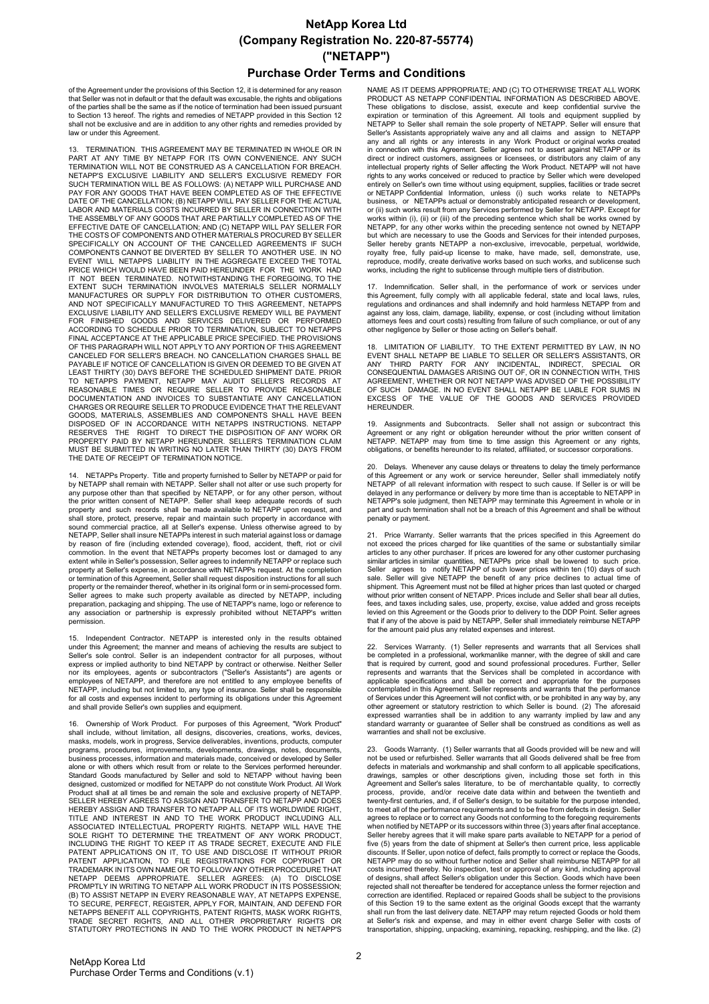## **NetApp Korea Ltd (Company Registration No. 220-87-55774) ("NETAPP")**

### **Purchase Order Terms and Conditions**

of the Agreement under the provisions of this Section 12, it is determined for any reason that Seller was not in default or that the default was excusable, the rights and obligations of the parties shall be the same as if the notice of termination had been issued pursuant to Section 13 hereof. The rights and remedies of NETAPP provided in this Section 12 shall not be exclusive and are in addition to any other rights and remedies provided by law or under this Agreement.

13. TERMINATION. THIS AGREEMENT MAY BE TERMINATED IN WHOLE OR IN PART AT ANY TIME BY NETAPP FOR TIS OWN CONVENIENCE. ANY SUCH<br>TERMINATION WILL NOT BE CONSTRUED AS A CANCELLATION FOR BREACH.<br>NETAPP'S EXCLUSIVE LIABILITY AND SELLER'S EXCLUSIVE REMEDY FOR<br>SUCH TERMINATION WILL BE AS FOLLOW LABOR AND MATERIALS COSTS INCURRED BY SELLER IN CONNECTION WITH THE ASSEMBLY OF ANY GOODS THAT ARE PARTIALLY COMPLETED AS OF THE EFFECTIVE DATE OF CANCELLATION; AND (C) NETAPP WILL PAY SELLER FOR THE COSTS OF COMPONENTS AND OTHER MATERIALS PROCURED BY SELLER SPECIFICALLY ON ACCOUNT OF THE CANCELLED AGREEMENTS IF SUCH COMPONENTS CANNOT BE DIVERTED BY SELLER TO ANOTHER USE. IN NO<br>EVENT WILL NETAPPS LIABILITY IN THE AGGREGATE EXCEED THE TOTAL<br>PRICE WHICH WOULD HAVE BEEN PAID HEREUNDER FOR THE WORK HAD<br>IT NOT BEEN TERMINATED. NOTWITHSTANDI EXTENT SUCH TERMINATION INVOLVES MATERIALS SELLER NORMALLY MANUFACTURES OR SUPPLY FOR DISTRIBUTION TO OTHER CUSTOMERS, MANUFACTURES OR SUPPLY FOR DISTRIBUTION TO OTHER CUSTOMERS,<br>AND NOT SPECIFICALLY MANUFACTURED TO THIS AGREEMENT, NETAPPS<br>EXCLUSIVE LIABILITY AND SELLER'S EXCLUSIVE REMEDY WILL BE PAYMENT<br>FOR FINISHED GOODS AND SERVICES DEL PAYABLE IF NOTICE OF CANCELLATION IS GIVEN OR DEEMED TO BE GIVEN AT<br>LEAST THIRTY (30) DAYS BEFORE THE SCHEDULED SHIPMENT DATE. PRIOR<br>TO NETAPPS PAYMENT, NETAPP MAY AUDIT SELLER'S RECORDS AT<br>REASONABLE TIMES OR REQUIRE SELL THE DATE OF RECEIPT OF TERMINATION NOTICE.

14. NETAPPs Property. Title and property furnished to Seller by NETAPP or paid for<br>by NETAPP shall remain with NETAPP. Seller shall not alter or use such property for<br>any purpose other than that specified by NETAPP, or fo the prior written consent of NETAPP. Seller shall keep adequate records of such property and such records shall be made available to NETAPP upon request, and shall store, protect, preserve, repair and maintain such property in accordance with sound commercial practice, all at Seller's expense. Unless otherwise agreed to by NETAPP, Seller shall insure NETAPPs interest in such material against loss or damage by reason of fire (including extended coverage), flood, accident, theft, riot or civil commotion. In the event that NETAPPs property becomes lost or damaged to any extent while in Seller's possession, Seller agrees to indemnify NETAPP or replace such property at Seller's expense, in accordance with NETAPPs request. At the completion or termination of this Agreement, Seller shall request disposition instructions for all such property or the remainder thereof, whether in its original form or in semi-processed form. Seller agrees to make such property available as directed by NETAPP, including preparation, packaging and shipping. The use of NETAPP's name, logo or reference to any association or partnership is expressly prohibited without NETAPP's written permission.

15. Independent Contractor. NETAPP is interested only in the results obtained under this Agreement; the manner and means of achieving the results are subject to Seller's sole control. Seller is an independent contractor for all purposes, without express or implied authority to bind NETAPP by contract or otherwise. Neither Seller nor its employees, agents or subcontractors ("Seller's Assistants") are agents or employees of NETAPP, and therefore are not entitled to any employee benefits of NETAPP, including but not limited to, any type of insurance. Seller shall be responsible for all costs and expenses incident to performing its obligations under this Agreement and shall provide Seller's own supplies and equipment.

16. Ownership of Work Product. For purposes of this Agreement, "Work Product" shall include, without limitation, all designs, discoveries, creations, works, devices, masks, models, work in progress, Service deliverables, inventions, products, computer programs, procedures, improvements, developments, drawings, notes, documents, business processes, information and materials made, conceived or developed by Seller<br>alone or with others which result from or relate to the Services performed hereunder.<br>Standard Goods manufactured by Seller and sold to N Product shall at all times be and remain the sole and exclusive property of NETAPP. SELLER HEREBY AGREES TO ASSIGN AND TRANSFER TO NETAPP AND DOES HEREBY ASSIGN AND TRANSFER TO NETAPP ALL OF ITS WORLDWIDE RIGHT,<br>TITLE AND INTEREST IN AND TO THE WORK PRODUCT INCLUDING ALL<br>ASSOCIATED INTELLECTUAL PROPERTY RIGHTS. NETAPP WILL HAVE THE SOLE RIGHT TO DETERMINE THE TREATMENT OF ANY WORK PRODUCT,<br>INCLUDING THE RIGHT TO KEEP IT AS TRADE SECRET, EXECUTE AND FILE<br>PATENT APPLICATIONS ON IT, TO USE AND DISCLOSE IT WITHOUT PRIOR<br>PATENT APPLICATION, TO FILE REGIST TRADEMARK IN ITS OWN NAME OR TO FOLLOW ANY OTHER PROCEDURE THAT<br>NETAPP DEEMS APPROPRIATE. SELLER AGREES: (A) TO DISCLOSE<br>PROMPTLY IN WRITING TO NETAPP ALL WORK PRODUCT IN ITS POSSESSION; (B) TO ASSIST NETAPP IN EVERY REASONABLE WAY, AT NETAPPS EXPENSE, TO SECURE, PERFECT, REGISTER, APPLY FOR, MAINTAIN, AND DEFEND FOR NETAPPS BENEFIT ALL COPYRIGHTS, PATENT RIGHTS, MASK WORK RIGHTS, TRADE SECRET RIGHTS, AND ALL OTHER PROPRIETARY RIGHTS OR STATUTORY PROTECTIONS IN AND TO THE WORK PRODUCT IN NETAPP'S

NAME AS IT DEEMS APPROPRIATE; AND (C) TO OTHERWISE TREAT ALL WORK<br>PRODUCT AS NETAPP CONFIDENTIAL INFORMATION AS DESCRIBED ABOVE. These obligations to disclose, assist, execute and keep confidential survive the<br>expiration or termination of this Agreement. All tools and equipment supplied by<br>NETAPP to Seller shall remain the sole property of NETAPP. S Seller's Assistants appropriately waive any and all claims and assign to NETAPP any and all rights or any interests in any Work Product or original works created in connection with this Agreement. Seller agrees not to assert against NETAPP or its direct or indirect customers, assignees or licensees, or distributors any claim of any intellectual property rights of Seller affecting the Work Product. NETAPP will not have rights to any works conceived or reduced to practice by Seller which were developed entirely on Seller's own time without using equipment, supplies, facilities or trade secret or NETAPP Confidential Information, unless (i) such works relate to NETAPPs business, or NETAPPs actual or demonstrably anticipated research or development, or (ii) such works result from any Services performed by Seller for NETAPP. Except for<br>works within (i), (ii) or (iii) of the preceding sentence which shall be works owned by NETAPP, for any other works within the preceding sentence not owned by NETAPP but which are necessary to use the Goods and Services for their intended purposes, Seller hereby grants NETAPP a non-exclusive, irrevocable, perpetual, worldwide, royalty free, fully paid-up license to make, have made, sell, demonstrate, use, reproduce, modify, create derivative works based on such works, and sublicense such works, including the right to sublicense through multiple tiers of distribution.

17. Indemnification. Seller shall, in the performance of work or services under this Agreement, fully comply with all applicable federal, state and local laws, rules, regulations and ordinances and shall indemnify and hold harmless NETAPP from and against any loss, claim, damage, liability, expense, or cost (including without limitation attorneys fees and court costs) resulting from failure of such compliance, or out of any other negligence by Seller or those acting on Seller's behalf.

18. LIMITATION OF LIABILITY. TO THE EXTENT PERMITTED BY LAW, IN NO<br>EVENT SHALL NETAPP BE LIABLE TO SELLER OR SELLER'S ASSISTANTS, OR<br>ANY THIRD PARTY FOR ANY INCIDENTAL, INDIRECT, SPECIAL OR<br>CONSEQUENTIAL DAMAGES ARISING OU AGREEMENT, WHETHER OR NOT NETAPP WAS ADVISED OF THE POSSIBILITY OF SUCH DAMAGE. IN NO EVENT SHALL NETAPP BE LIABLE FOR SUMS IN EXCESS OF THE VALUE OF THE GOODS AND SERVICES PROVIDED HEREUNDER.

19. Assignments and Subcontracts. Seller shall not assign or subcontract this Agreement or any right or obligation hereunder without the prior written consent of NETAPP. NETAPP may from time to time assign this Agreement or any rights, obligations, or benefits hereunder to its related, affiliated, or successor corporations.

20. Delays. Whenever any cause delays or threatens to delay the timely performance<br>of this Agreement or any work or service hereunder, Seller shall immediately notify<br>NETAPP of all relevant information with respect to such NETAPP's sole judgment, then NETAPP may terminate this Agreement in whole or in part and such termination shall not be a breach of this Agreement and shall be without penalty or payment.

Price Warranty. Seller warrants that the prices specified in this Agreement do not exceed the prices charged for like quantities of the same or substantially similar<br>articles to any other purchaser. If prices are lowered for any other customer purchasing<br>similar articles in similar quantities, NETAPP sale. Seller will give NETAPP the benefit of any price declines to actual time of shipment. This Agreement must not be filled at higher prices than last quoted or charged without prior written consent of NETAPP. Prices include and Seller shall bear all duties, fees, and taxes including sales, use, property, excise, value added and gross receipts<br>levied on this Agreement or the Goods prior to delivery to the DDP Point. Seller agrees<br>that if any of the above is paid by NETAPP, Sel for the amount paid plus any related expenses and interest.

22. Services Warranty. (1) Seller represents and warrants that all Services shall be completed in a professional, workmanlike manner, with the degree of skill and care that is required by current, good and sound professional procedures. Further, Seller represents and warrants that the Services shall be completed in accordance with applicable specifications and shall be correct and appropriate for the purposes contemplated in this Agreement. Seller represents and warrants that the performance of Services under this Agreement will not conflict with, or be prohibited in any way by, any other agreement or statutory restriction to which Seller is bound. (2) The aforesaid expressed warranties shall be in addition to any warranty implied by law and any standard warranty or guarantee of Seller shall be construed as conditions as well as warranties and shall not be exclusive.

Goods Warranty. (1) Seller warrants that all Goods provided will be new and will not be used or refurbished. Seller warrants that all Goods delivered shall be free from defects in materials and workmanship and shall conform to all applicable specifications, drawings, samples or other descriptions given, including those set forth in this<br>Agreement and Seller's sales literature, to be of merchantable quality, to correctly<br>process, provide, and/or receive date data within and be twenty-first centuries, and, if of Seller's design, to be suitable for the purpose intended, to meet all of the performance requirements and to be free from defects in design. Seller agrees to replace or to correct any Goods not conforming to the foregoing requirements when notified by NETAPP or its successors within three (3) years after final acceptance. Seller hereby agrees that it will make spare parts available to NETAPP for a period of five (5) years from the date of shipment at Seller's then current price, less applicable discounts. If Seller, upon notice of defect, fails promptly to correct or replace the Goods, NETAPP may do so without further notice and Seller shall reimburse NETAPP for all costs incurred thereby. No inspection, test or approval of any kind, including approval of designs, shall affect Seller's obligation under this Section. Goods which have been rejected shall not thereafter be tendered for acceptance unless the former rejection and<br>correction are identified. Replaced or repaired Goods shall be subject to the provisions<br>of this Section 19 to the same extent as the transportation, shipping, unpacking, examining, repacking, reshipping, and the like. (2)